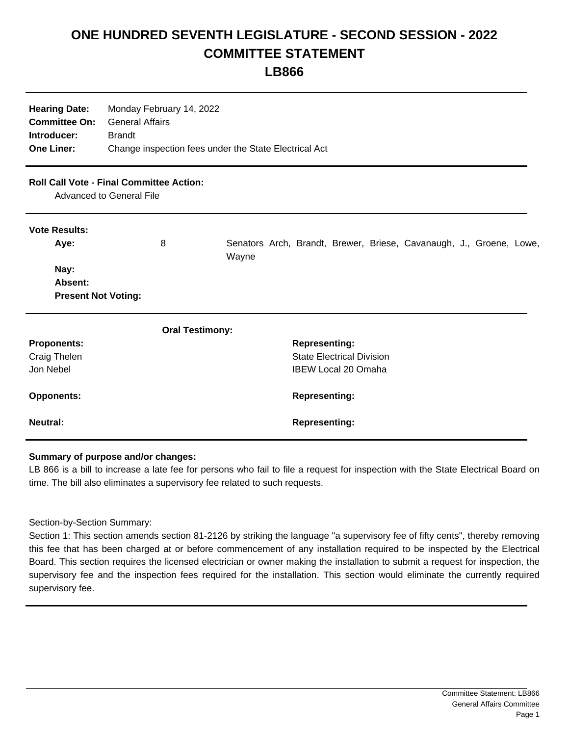## **ONE HUNDRED SEVENTH LEGISLATURE - SECOND SESSION - 2022 COMMITTEE STATEMENT**

**LB866**

| <b>Hearing Date:</b><br><b>Committee On:</b><br>Introducer:<br><b>One Liner:</b> | Monday February 14, 2022<br><b>General Affairs</b><br><b>Brandt</b><br>Change inspection fees under the State Electrical Act |                                                                              |
|----------------------------------------------------------------------------------|------------------------------------------------------------------------------------------------------------------------------|------------------------------------------------------------------------------|
|                                                                                  | <b>Roll Call Vote - Final Committee Action:</b><br>Advanced to General File                                                  |                                                                              |
| <b>Vote Results:</b>                                                             |                                                                                                                              |                                                                              |
| Aye:                                                                             | 8                                                                                                                            | Senators Arch, Brandt, Brewer, Briese, Cavanaugh, J., Groene, Lowe,<br>Wayne |
| Nay:                                                                             |                                                                                                                              |                                                                              |
| Absent:                                                                          |                                                                                                                              |                                                                              |
| <b>Present Not Voting:</b>                                                       |                                                                                                                              |                                                                              |
|                                                                                  | <b>Oral Testimony:</b>                                                                                                       |                                                                              |
| <b>Proponents:</b>                                                               |                                                                                                                              | <b>Representing:</b>                                                         |
| Craig Thelen                                                                     |                                                                                                                              | <b>State Electrical Division</b>                                             |
| Jon Nebel                                                                        |                                                                                                                              | <b>IBEW Local 20 Omaha</b>                                                   |
| <b>Opponents:</b>                                                                |                                                                                                                              | <b>Representing:</b>                                                         |
| Neutral:                                                                         |                                                                                                                              | <b>Representing:</b>                                                         |

## **Summary of purpose and/or changes:**

LB 866 is a bill to increase a late fee for persons who fail to file a request for inspection with the State Electrical Board on time. The bill also eliminates a supervisory fee related to such requests.

Section-by-Section Summary:

Section 1: This section amends section 81-2126 by striking the language "a supervisory fee of fifty cents", thereby removing this fee that has been charged at or before commencement of any installation required to be inspected by the Electrical Board. This section requires the licensed electrician or owner making the installation to submit a request for inspection, the supervisory fee and the inspection fees required for the installation. This section would eliminate the currently required supervisory fee.